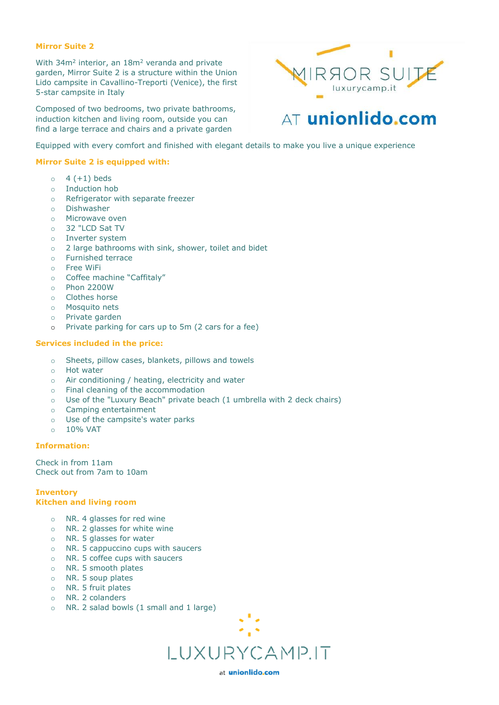### **Mirror Suite 2**

With 34m<sup>2</sup> interior, an 18m<sup>2</sup> veranda and private garden, Mirror Suite 2 is a structure within the Union Lido campsite in Cavallino-Treporti (Venice), the first 5-star campsite in Italy

Composed of two bedrooms, two private bathrooms, induction kitchen and living room, outside you can find a large terrace and chairs and a private garden



# AT unionlido.com

Equipped with every comfort and finished with elegant details to make you live a unique experience

# **Mirror Suite 2 is equipped with:**

- $\circ$  4 (+1) beds
- o Induction hob
- o Refrigerator with separate freezer
- o Dishwasher
- o Microwave oven
- o 32 "LCD Sat TV
- o Inverter system
- o 2 large bathrooms with sink, shower, toilet and bidet
- o Furnished terrace
- o Free WiFi
- o Coffee machine "Caffitaly"
- o Phon 2200W
- o Clothes horse
- o Mosquito nets
- o Private garden
- o Private parking for cars up to 5m (2 cars for a fee)

### **Services included in the price:**

- o Sheets, pillow cases, blankets, pillows and towels
- o Hot water
- o Air conditioning / heating, electricity and water
- o Final cleaning of the accommodation
- o Use of the "Luxury Beach" private beach (1 umbrella with 2 deck chairs)
- o Camping entertainment
- o Use of the campsite's water parks
- o 10% VAT

# **Information:**

Check in from 11am Check out from 7am to 10am

# **Inventory Kitchen and living room**

- o NR. 4 glasses for red wine
- o NR. 2 glasses for white wine
- o NR. 5 glasses for water
- o NR. 5 cappuccino cups with saucers
- o NR. 5 coffee cups with saucers
- o NR. 5 smooth plates
- o NR. 5 soup plates
- o NR. 5 fruit plates
- o NR. 2 colanders
- o NR. 2 salad bowls (1 small and 1 large)



at unionlido.com